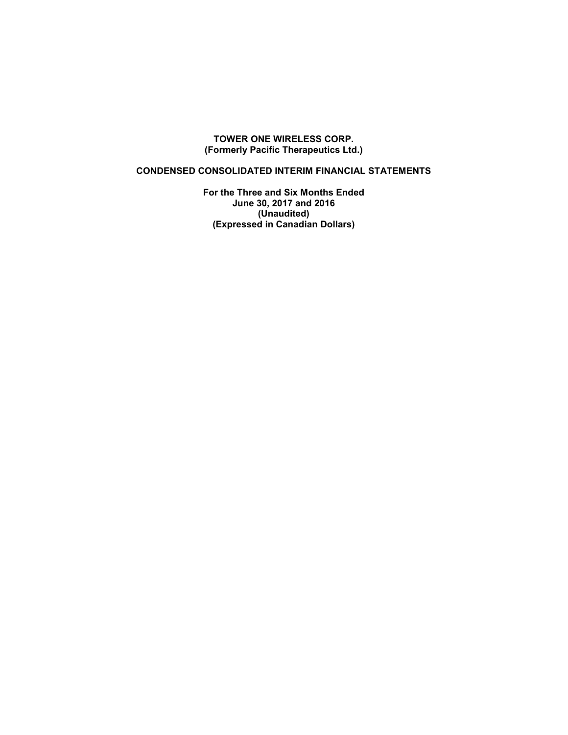### **TOWER ONE WIRELESS CORP. (Formerly Pacific Therapeutics Ltd.)**

## **CONDENSED CONSOLIDATED INTERIM FINANCIAL STATEMENTS**

**For the Three and Six Months Ended June 30, 2017 and 2016 (Unaudited) (Expressed in Canadian Dollars)**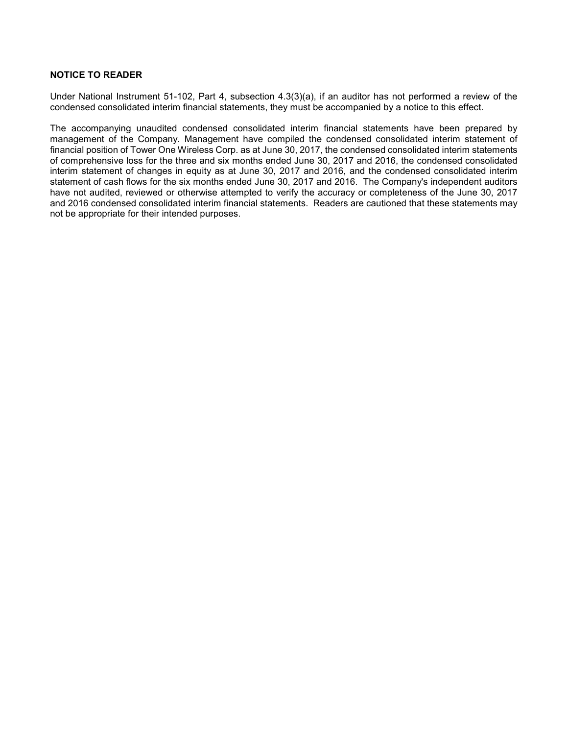#### **NOTICE TO READER**

Under National Instrument 51-102, Part 4, subsection 4.3(3)(a), if an auditor has not performed a review of the condensed consolidated interim financial statements, they must be accompanied by a notice to this effect.

The accompanying unaudited condensed consolidated interim financial statements have been prepared by management of the Company. Management have compiled the condensed consolidated interim statement of financial position of Tower One Wireless Corp. as at June 30, 2017, the condensed consolidated interim statements of comprehensive loss for the three and six months ended June 30, 2017 and 2016, the condensed consolidated interim statement of changes in equity as at June 30, 2017 and 2016, and the condensed consolidated interim statement of cash flows for the six months ended June 30, 2017 and 2016. The Company's independent auditors have not audited, reviewed or otherwise attempted to verify the accuracy or completeness of the June 30, 2017 and 2016 condensed consolidated interim financial statements. Readers are cautioned that these statements may not be appropriate for their intended purposes.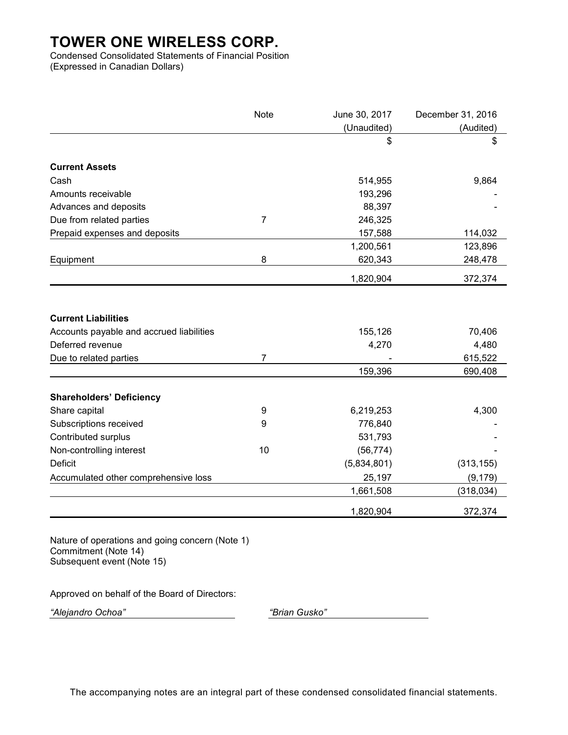Condensed Consolidated Statements of Financial Position (Expressed in Canadian Dollars)

|                                          | Note           | June 30, 2017 | December 31, 2016 |
|------------------------------------------|----------------|---------------|-------------------|
|                                          |                | (Unaudited)   | (Audited)         |
|                                          |                | \$            | \$                |
| <b>Current Assets</b>                    |                |               |                   |
| Cash                                     |                | 514,955       | 9,864             |
| Amounts receivable                       |                | 193,296       |                   |
| Advances and deposits                    |                | 88,397        |                   |
| Due from related parties                 | $\overline{7}$ | 246,325       |                   |
| Prepaid expenses and deposits            |                | 157,588       | 114,032           |
|                                          |                | 1,200,561     | 123,896           |
| Equipment                                | 8              | 620,343       | 248,478           |
|                                          |                | 1,820,904     | 372,374           |
| <b>Current Liabilities</b>               |                |               |                   |
| Accounts payable and accrued liabilities |                | 155,126       | 70,406            |
| Deferred revenue                         |                | 4,270         | 4,480             |
| Due to related parties                   | 7              |               | 615,522           |
|                                          |                | 159,396       | 690,408           |
| <b>Shareholders' Deficiency</b>          |                |               |                   |
| Share capital                            | 9              | 6,219,253     | 4,300             |
| Subscriptions received                   | 9              | 776,840       |                   |
| Contributed surplus                      |                | 531,793       |                   |
| Non-controlling interest                 | 10             | (56, 774)     |                   |
| <b>Deficit</b>                           |                | (5,834,801)   | (313, 155)        |
| Accumulated other comprehensive loss     |                | 25,197        | (9, 179)          |
|                                          |                | 1,661,508     | (318, 034)        |
|                                          |                | 1,820,904     | 372,374           |

Nature of operations and going concern (Note 1) Commitment (Note 14) Subsequent event (Note 15)

Approved on behalf of the Board of Directors:

*"Alejandro Ochoa" "Brian Gusko"*

The accompanying notes are an integral part of these condensed consolidated financial statements.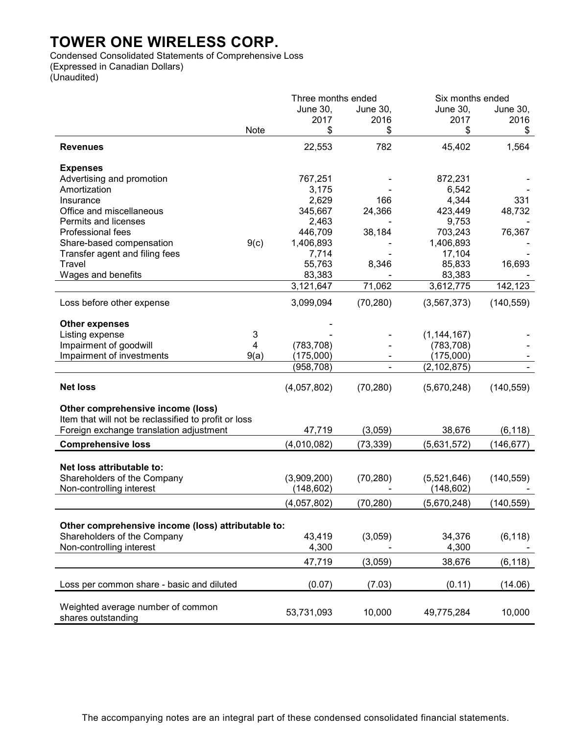Condensed Consolidated Statements of Comprehensive Loss (Expressed in Canadian Dollars) (Unaudited)

|                                                      | Six months ended<br>Three months ended |             |                 |                 |            |
|------------------------------------------------------|----------------------------------------|-------------|-----------------|-----------------|------------|
|                                                      |                                        | June 30,    | <b>June 30,</b> | <b>June 30,</b> | June 30,   |
|                                                      |                                        | 2017        | 2016            | 2017            | 2016       |
|                                                      | Note                                   | \$          | \$              | \$              | \$         |
| <b>Revenues</b>                                      |                                        | 22,553      | 782             | 45,402          | 1,564      |
| <b>Expenses</b>                                      |                                        |             |                 |                 |            |
| Advertising and promotion                            |                                        | 767,251     |                 | 872,231         |            |
| Amortization                                         |                                        | 3,175       |                 | 6,542           |            |
| Insurance                                            |                                        | 2,629       | 166             | 4,344           | 331        |
| Office and miscellaneous                             |                                        | 345,667     | 24,366          | 423,449         | 48,732     |
| Permits and licenses                                 |                                        | 2,463       |                 | 9,753           |            |
| Professional fees                                    |                                        | 446,709     | 38,184          | 703,243         | 76,367     |
| Share-based compensation                             | 9(c)                                   | 1,406,893   |                 | 1,406,893       |            |
| Transfer agent and filing fees                       |                                        | 7,714       |                 | 17,104          |            |
| Travel                                               |                                        | 55,763      | 8,346           | 85,833          | 16,693     |
| Wages and benefits                                   |                                        | 83,383      |                 | 83,383          |            |
|                                                      |                                        | 3,121,647   | 71,062          | 3,612,775       | 142,123    |
| Loss before other expense                            |                                        | 3,099,094   | (70, 280)       | (3, 567, 373)   | (140, 559) |
| <b>Other expenses</b>                                |                                        |             |                 |                 |            |
| Listing expense                                      | 3                                      |             |                 | (1, 144, 167)   |            |
| Impairment of goodwill                               | 4                                      | (783, 708)  |                 | (783, 708)      |            |
| Impairment of investments                            | 9(a)                                   | (175,000)   |                 | (175,000)       |            |
|                                                      |                                        | (958, 708)  |                 | (2, 102, 875)   |            |
|                                                      |                                        |             |                 |                 |            |
| <b>Net loss</b>                                      |                                        | (4,057,802) | (70, 280)       | (5,670,248)     | (140, 559) |
| Other comprehensive income (loss)                    |                                        |             |                 |                 |            |
| Item that will not be reclassified to profit or loss |                                        |             |                 |                 |            |
| Foreign exchange translation adjustment              |                                        | 47,719      | (3,059)         | 38,676          | (6, 118)   |
| <b>Comprehensive loss</b>                            |                                        | (4,010,082) | (73, 339)       | (5,631,572)     | (146, 677) |
| Net loss attributable to:                            |                                        |             |                 |                 |            |
|                                                      |                                        |             |                 |                 |            |
| Shareholders of the Company                          |                                        | (3,909,200) | (70, 280)       | (5,521,646)     | (140, 559) |
| Non-controlling interest                             |                                        | (148, 602)  |                 | (148, 602)      |            |
|                                                      |                                        | (4,057,802) | (70, 280)       | (5,670,248)     | (140, 559) |
| Other comprehensive income (loss) attributable to:   |                                        |             |                 |                 |            |
| Shareholders of the Company                          |                                        | 43,419      | (3,059)         | 34,376          | (6, 118)   |
| Non-controlling interest                             |                                        | 4,300       |                 | 4,300           |            |
|                                                      |                                        |             |                 |                 |            |
|                                                      |                                        | 47,719      | (3,059)         | 38,676          | (6, 118)   |
| Loss per common share - basic and diluted            |                                        | (0.07)      | (7.03)          | (0.11)          | (14.06)    |
|                                                      |                                        |             |                 |                 |            |
| Weighted average number of common                    |                                        |             |                 |                 |            |
| shares outstanding                                   |                                        | 53,731,093  | 10,000          | 49,775,284      | 10,000     |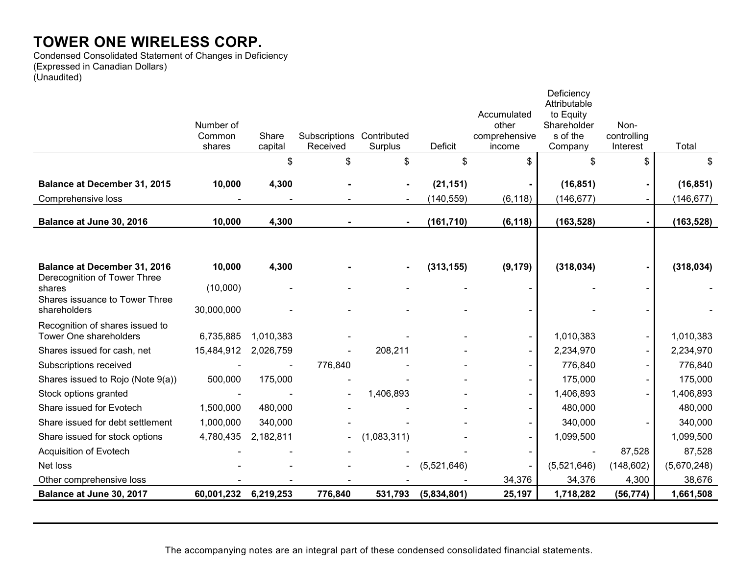Condensed Consolidated Statement of Changes in Deficiency (Expressed in Canadian Dollars) (Unaudited)

| Accumulated<br>to Equity<br>Shareholder<br>Non-<br>Number of<br>other<br>Subscriptions Contributed<br>s of the<br>controlling<br>Common<br>Share<br>comprehensive<br>Deficit<br>capital<br>Received<br>Surplus<br>Company<br>Interest<br>shares<br>income<br>\$<br>\$<br>\$<br>\$<br>\$<br>\$<br>\$<br>(21, 151)<br>(16, 851)<br><b>Balance at December 31, 2015</b><br>10,000<br>4,300 | Total<br>\$<br>(16, 851)<br>(146, 677) |
|-----------------------------------------------------------------------------------------------------------------------------------------------------------------------------------------------------------------------------------------------------------------------------------------------------------------------------------------------------------------------------------------|----------------------------------------|
|                                                                                                                                                                                                                                                                                                                                                                                         |                                        |
|                                                                                                                                                                                                                                                                                                                                                                                         |                                        |
|                                                                                                                                                                                                                                                                                                                                                                                         |                                        |
|                                                                                                                                                                                                                                                                                                                                                                                         |                                        |
|                                                                                                                                                                                                                                                                                                                                                                                         |                                        |
| (140, 559)<br>(6, 118)<br>Comprehensive loss<br>(146, 677)                                                                                                                                                                                                                                                                                                                              |                                        |
| (163, 528)<br>10,000<br>4,300<br>(161, 710)<br>(6, 118)<br>Balance at June 30, 2016                                                                                                                                                                                                                                                                                                     | (163, 528)                             |
|                                                                                                                                                                                                                                                                                                                                                                                         |                                        |
|                                                                                                                                                                                                                                                                                                                                                                                         |                                        |
| (318, 034)<br><b>Balance at December 31, 2016</b><br>10,000<br>4,300<br>(313, 155)<br>(9, 179)<br>Derecognition of Tower Three                                                                                                                                                                                                                                                          | (318, 034)                             |
| (10,000)<br>shares                                                                                                                                                                                                                                                                                                                                                                      |                                        |
| Shares issuance to Tower Three<br>30,000,000<br>shareholders                                                                                                                                                                                                                                                                                                                            |                                        |
| Recognition of shares issued to                                                                                                                                                                                                                                                                                                                                                         |                                        |
| Tower One shareholders<br>6,735,885<br>1,010,383<br>1,010,383<br>$\blacksquare$                                                                                                                                                                                                                                                                                                         | 1,010,383                              |
| 208,211<br>Shares issued for cash, net<br>15,484,912<br>2,026,759<br>2,234,970                                                                                                                                                                                                                                                                                                          | 2,234,970                              |
| 776,840<br>Subscriptions received<br>776,840                                                                                                                                                                                                                                                                                                                                            | 776,840                                |
| Shares issued to Rojo (Note 9(a))<br>500,000<br>175,000<br>175,000                                                                                                                                                                                                                                                                                                                      | 175,000                                |
| 1,406,893<br>1,406,893<br>Stock options granted                                                                                                                                                                                                                                                                                                                                         | 1,406,893                              |
| Share issued for Evotech<br>1,500,000<br>480,000<br>480,000<br>$\blacksquare$                                                                                                                                                                                                                                                                                                           | 480,000                                |
| Share issued for debt settlement<br>1,000,000<br>340,000<br>340,000                                                                                                                                                                                                                                                                                                                     | 340,000                                |
| 4,780,435<br>(1,083,311)<br>Share issued for stock options<br>2,182,811<br>1,099,500<br>$\sim$                                                                                                                                                                                                                                                                                          | 1,099,500                              |
| 87,528<br>Acquisition of Evotech                                                                                                                                                                                                                                                                                                                                                        | 87,528                                 |
| Net loss<br>(5,521,646)<br>(148, 602)<br>(5,521,646)<br>$\blacksquare$                                                                                                                                                                                                                                                                                                                  | (5,670,248)                            |
| 34,376<br>Other comprehensive loss<br>34,376<br>4,300                                                                                                                                                                                                                                                                                                                                   | 38,676                                 |
| Balance at June 30, 2017<br>6,219,253<br>776,840<br>(5,834,801)<br>25,197<br>1,718,282<br>(56, 774)<br>60,001,232<br>531,793                                                                                                                                                                                                                                                            | 1,661,508                              |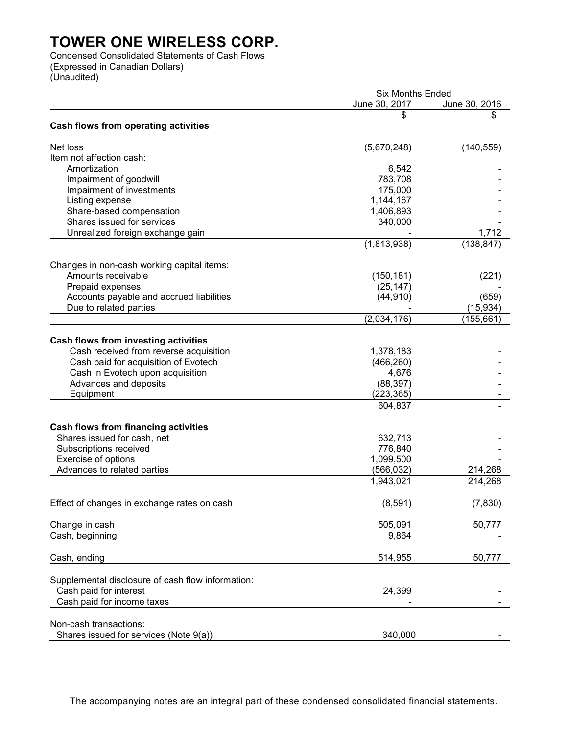Condensed Consolidated Statements of Cash Flows (Expressed in Canadian Dollars) (Unaudited)

|                                                   | <b>Six Months Ended</b> |               |
|---------------------------------------------------|-------------------------|---------------|
|                                                   | June 30, 2017           | June 30, 2016 |
|                                                   | S                       | \$            |
| Cash flows from operating activities              |                         |               |
| Net loss                                          | (5,670,248)             | (140, 559)    |
| Item not affection cash:                          |                         |               |
|                                                   |                         |               |
| Amortization                                      | 6,542                   |               |
| Impairment of goodwill                            | 783,708                 |               |
| Impairment of investments                         | 175,000                 |               |
| Listing expense                                   | 1,144,167               |               |
| Share-based compensation                          | 1,406,893               |               |
| Shares issued for services                        | 340,000                 |               |
| Unrealized foreign exchange gain                  |                         | 1,712         |
|                                                   | (1,813,938)             | (138, 847)    |
| Changes in non-cash working capital items:        |                         |               |
| Amounts receivable                                |                         |               |
|                                                   | (150, 181)              | (221)         |
| Prepaid expenses                                  | (25, 147)               |               |
| Accounts payable and accrued liabilities          | (44, 910)               | (659)         |
| Due to related parties                            |                         | (15, 934)     |
|                                                   | (2,034,176)             | (155, 661)    |
|                                                   |                         |               |
| Cash flows from investing activities              |                         |               |
| Cash received from reverse acquisition            | 1,378,183               |               |
| Cash paid for acquisition of Evotech              | (466, 260)              |               |
| Cash in Evotech upon acquisition                  | 4,676                   |               |
| Advances and deposits                             | (88, 397)               |               |
| Equipment                                         | (223, 365)              |               |
|                                                   |                         |               |
|                                                   | 604,837                 |               |
| <b>Cash flows from financing activities</b>       |                         |               |
| Shares issued for cash, net                       | 632,713                 |               |
| Subscriptions received                            | 776,840                 |               |
| Exercise of options                               | 1,099,500               |               |
| Advances to related parties                       | (566, 032)              | 214,268       |
|                                                   |                         |               |
|                                                   | 1,943,021               | 214,268       |
| Effect of changes in exchange rates on cash       | (8,591)                 | (7, 830)      |
|                                                   |                         |               |
| Change in cash                                    | 505,091                 | 50,777        |
|                                                   |                         |               |
| Cash, beginning                                   | 9,864                   |               |
| Cash, ending                                      | 514,955                 | 50,777        |
|                                                   |                         |               |
| Supplemental disclosure of cash flow information: |                         |               |
| Cash paid for interest                            | 24,399                  |               |
| Cash paid for income taxes                        |                         |               |
|                                                   |                         |               |
| Non-cash transactions:                            |                         |               |
| Shares issued for services (Note 9(a))            | 340,000                 |               |

The accompanying notes are an integral part of these condensed consolidated financial statements.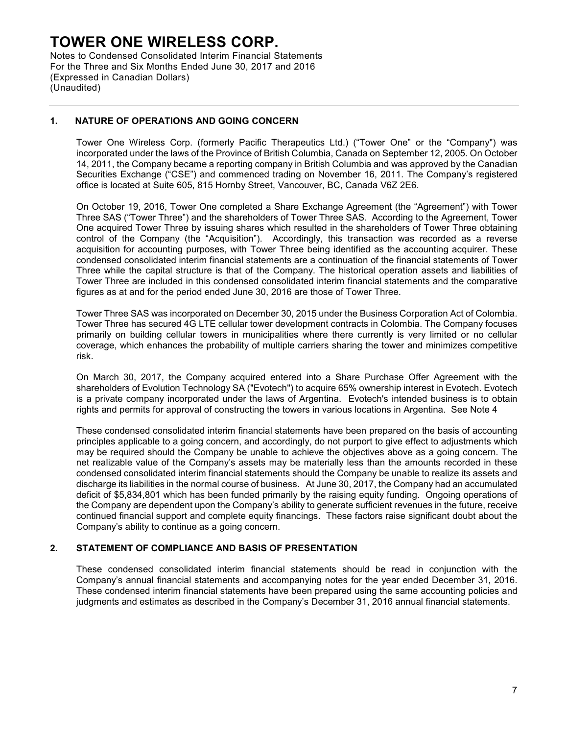Notes to Condensed Consolidated Interim Financial Statements For the Three and Six Months Ended June 30, 2017 and 2016 (Expressed in Canadian Dollars) (Unaudited)

## **1. NATURE OF OPERATIONS AND GOING CONCERN**

Tower One Wireless Corp. (formerly Pacific Therapeutics Ltd.) ("Tower One" or the "Company") was incorporated under the laws of the Province of British Columbia, Canada on September 12, 2005. On October 14, 2011, the Company became a reporting company in British Columbia and was approved by the Canadian Securities Exchange ("CSE") and commenced trading on November 16, 2011. The Company's registered office is located at Suite 605, 815 Hornby Street, Vancouver, BC, Canada V6Z 2E6.

On October 19, 2016, Tower One completed a Share Exchange Agreement (the "Agreement") with Tower Three SAS ("Tower Three") and the shareholders of Tower Three SAS. According to the Agreement, Tower One acquired Tower Three by issuing shares which resulted in the shareholders of Tower Three obtaining control of the Company (the "Acquisition"). Accordingly, this transaction was recorded as a reverse acquisition for accounting purposes, with Tower Three being identified as the accounting acquirer. These condensed consolidated interim financial statements are a continuation of the financial statements of Tower Three while the capital structure is that of the Company. The historical operation assets and liabilities of Tower Three are included in this condensed consolidated interim financial statements and the comparative figures as at and for the period ended June 30, 2016 are those of Tower Three.

Tower Three SAS was incorporated on December 30, 2015 under the Business Corporation Act of Colombia. Tower Three has secured 4G LTE cellular tower development contracts in Colombia. The Company focuses primarily on building cellular towers in municipalities where there currently is very limited or no cellular coverage, which enhances the probability of multiple carriers sharing the tower and minimizes competitive risk.

On March 30, 2017, the Company acquired entered into a Share Purchase Offer Agreement with the shareholders of Evolution Technology SA ("Evotech") to acquire 65% ownership interest in Evotech. Evotech is a private company incorporated under the laws of Argentina. Evotech's intended business is to obtain rights and permits for approval of constructing the towers in various locations in Argentina. See Note 4

These condensed consolidated interim financial statements have been prepared on the basis of accounting principles applicable to a going concern, and accordingly, do not purport to give effect to adjustments which may be required should the Company be unable to achieve the objectives above as a going concern. The net realizable value of the Company's assets may be materially less than the amounts recorded in these condensed consolidated interim financial statements should the Company be unable to realize its assets and discharge its liabilities in the normal course of business. At June 30, 2017, the Company had an accumulated deficit of \$5,834,801 which has been funded primarily by the raising equity funding. Ongoing operations of the Company are dependent upon the Company's ability to generate sufficient revenues in the future, receive continued financial support and complete equity financings. These factors raise significant doubt about the Company's ability to continue as a going concern.

### **2. STATEMENT OF COMPLIANCE AND BASIS OF PRESENTATION**

These condensed consolidated interim financial statements should be read in conjunction with the Company's annual financial statements and accompanying notes for the year ended December 31, 2016. These condensed interim financial statements have been prepared using the same accounting policies and judgments and estimates as described in the Company's December 31, 2016 annual financial statements.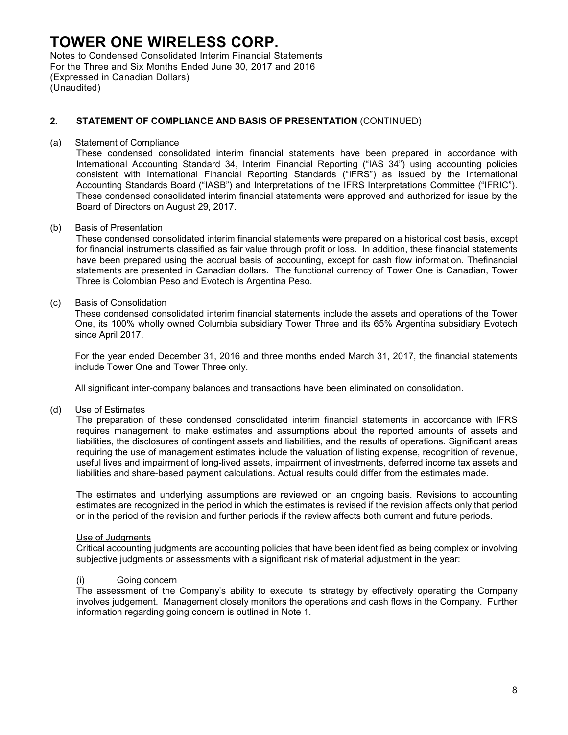Notes to Condensed Consolidated Interim Financial Statements For the Three and Six Months Ended June 30, 2017 and 2016 (Expressed in Canadian Dollars) (Unaudited)

### **2. STATEMENT OF COMPLIANCE AND BASIS OF PRESENTATION** (CONTINUED)

#### (a) Statement of Compliance

These condensed consolidated interim financial statements have been prepared in accordance with International Accounting Standard 34, Interim Financial Reporting ("IAS 34") using accounting policies consistent with International Financial Reporting Standards ("IFRS") as issued by the International Accounting Standards Board ("IASB") and Interpretations of the IFRS Interpretations Committee ("IFRIC"). These condensed consolidated interim financial statements were approved and authorized for issue by the Board of Directors on August 29, 2017.

#### (b) Basis of Presentation

These condensed consolidated interim financial statements were prepared on a historical cost basis, except for financial instruments classified as fair value through profit or loss. In addition, these financial statements have been prepared using the accrual basis of accounting, except for cash flow information. Thefinancial statements are presented in Canadian dollars. The functional currency of Tower One is Canadian, Tower Three is Colombian Peso and Evotech is Argentina Peso.

#### (c) Basis of Consolidation

These condensed consolidated interim financial statements include the assets and operations of the Tower One, its 100% wholly owned Columbia subsidiary Tower Three and its 65% Argentina subsidiary Evotech since April 2017.

For the year ended December 31, 2016 and three months ended March 31, 2017, the financial statements include Tower One and Tower Three only.

All significant inter-company balances and transactions have been eliminated on consolidation.

#### (d) Use of Estimates

The preparation of these condensed consolidated interim financial statements in accordance with IFRS requires management to make estimates and assumptions about the reported amounts of assets and liabilities, the disclosures of contingent assets and liabilities, and the results of operations. Significant areas requiring the use of management estimates include the valuation of listing expense, recognition of revenue, useful lives and impairment of long-lived assets, impairment of investments, deferred income tax assets and liabilities and share-based payment calculations. Actual results could differ from the estimates made.

The estimates and underlying assumptions are reviewed on an ongoing basis. Revisions to accounting estimates are recognized in the period in which the estimates is revised if the revision affects only that period or in the period of the revision and further periods if the review affects both current and future periods.

#### Use of Judgments

Critical accounting judgments are accounting policies that have been identified as being complex or involving subjective judgments or assessments with a significant risk of material adjustment in the year:

#### (i) Going concern

The assessment of the Company's ability to execute its strategy by effectively operating the Company involves judgement. Management closely monitors the operations and cash flows in the Company. Further information regarding going concern is outlined in Note 1.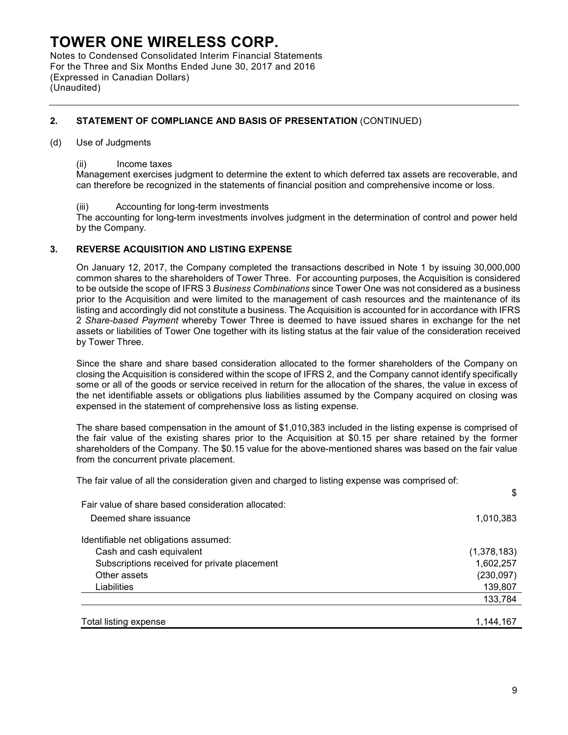Notes to Condensed Consolidated Interim Financial Statements For the Three and Six Months Ended June 30, 2017 and 2016 (Expressed in Canadian Dollars) (Unaudited)

## **2. STATEMENT OF COMPLIANCE AND BASIS OF PRESENTATION** (CONTINUED)

#### (d) Use of Judgments

#### (ii) Income taxes

Management exercises judgment to determine the extent to which deferred tax assets are recoverable, and can therefore be recognized in the statements of financial position and comprehensive income or loss.

### (iii) Accounting for long-term investments

The accounting for long-term investments involves judgment in the determination of control and power held by the Company.

### **3. REVERSE ACQUISITION AND LISTING EXPENSE**

On January 12, 2017, the Company completed the transactions described in Note 1 by issuing 30,000,000 common shares to the shareholders of Tower Three. For accounting purposes, the Acquisition is considered to be outside the scope of IFRS 3 *Business Combinations* since Tower One was not considered as a business prior to the Acquisition and were limited to the management of cash resources and the maintenance of its listing and accordingly did not constitute a business. The Acquisition is accounted for in accordance with IFRS 2 *Share-based Payment* whereby Tower Three is deemed to have issued shares in exchange for the net assets or liabilities of Tower One together with its listing status at the fair value of the consideration received by Tower Three.

Since the share and share based consideration allocated to the former shareholders of the Company on closing the Acquisition is considered within the scope of IFRS 2, and the Company cannot identify specifically some or all of the goods or service received in return for the allocation of the shares, the value in excess of the net identifiable assets or obligations plus liabilities assumed by the Company acquired on closing was expensed in the statement of comprehensive loss as listing expense.

The share based compensation in the amount of \$1,010,383 included in the listing expense is comprised of the fair value of the existing shares prior to the Acquisition at \$0.15 per share retained by the former shareholders of the Company. The \$0.15 value for the above-mentioned shares was based on the fair value from the concurrent private placement.

The fair value of all the consideration given and charged to listing expense was comprised of:

| Fair value of share based consideration allocated: |             |
|----------------------------------------------------|-------------|
| Deemed share issuance                              | 1,010,383   |
| Identifiable net obligations assumed:              |             |
| Cash and cash equivalent                           | (1,378,183) |
| Subscriptions received for private placement       | 1,602,257   |
| Other assets                                       | (230, 097)  |
| Liabilities                                        | 139,807     |
|                                                    | 133,784     |
|                                                    |             |
| Total listing expense                              | 1,144,167   |

\$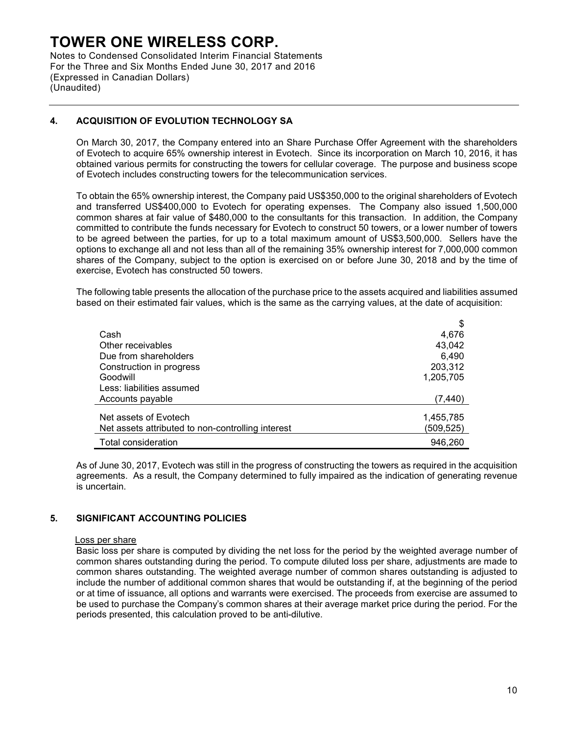Notes to Condensed Consolidated Interim Financial Statements For the Three and Six Months Ended June 30, 2017 and 2016 (Expressed in Canadian Dollars) (Unaudited)

## **4. ACQUISITION OF EVOLUTION TECHNOLOGY SA**

On March 30, 2017, the Company entered into an Share Purchase Offer Agreement with the shareholders of Evotech to acquire 65% ownership interest in Evotech. Since its incorporation on March 10, 2016, it has obtained various permits for constructing the towers for cellular coverage. The purpose and business scope of Evotech includes constructing towers for the telecommunication services.

To obtain the 65% ownership interest, the Company paid US\$350,000 to the original shareholders of Evotech and transferred US\$400,000 to Evotech for operating expenses. The Company also issued 1,500,000 common shares at fair value of \$480,000 to the consultants for this transaction. In addition, the Company committed to contribute the funds necessary for Evotech to construct 50 towers, or a lower number of towers to be agreed between the parties, for up to a total maximum amount of US\$3,500,000. Sellers have the options to exchange all and not less than all of the remaining 35% ownership interest for 7,000,000 common shares of the Company, subject to the option is exercised on or before June 30, 2018 and by the time of exercise, Evotech has constructed 50 towers.

The following table presents the allocation of the purchase price to the assets acquired and liabilities assumed based on their estimated fair values, which is the same as the carrying values, at the date of acquisition:

|                                                   | \$        |
|---------------------------------------------------|-----------|
| Cash                                              | 4,676     |
| Other receivables                                 | 43,042    |
| Due from shareholders                             | 6,490     |
| Construction in progress                          | 203,312   |
| Goodwill                                          | 1,205,705 |
| Less: liabilities assumed                         |           |
| Accounts payable                                  | (7,440)   |
| Net assets of Evotech                             |           |
|                                                   | 1,455,785 |
| Net assets attributed to non-controlling interest | (509,525) |
| Total consideration                               | 946,260   |

As of June 30, 2017, Evotech was still in the progress of constructing the towers as required in the acquisition agreements. As a result, the Company determined to fully impaired as the indication of generating revenue is uncertain.

### **5. SIGNIFICANT ACCOUNTING POLICIES**

#### Loss per share

Basic loss per share is computed by dividing the net loss for the period by the weighted average number of common shares outstanding during the period. To compute diluted loss per share, adjustments are made to common shares outstanding. The weighted average number of common shares outstanding is adjusted to include the number of additional common shares that would be outstanding if, at the beginning of the period or at time of issuance, all options and warrants were exercised. The proceeds from exercise are assumed to be used to purchase the Company's common shares at their average market price during the period. For the periods presented, this calculation proved to be anti-dilutive.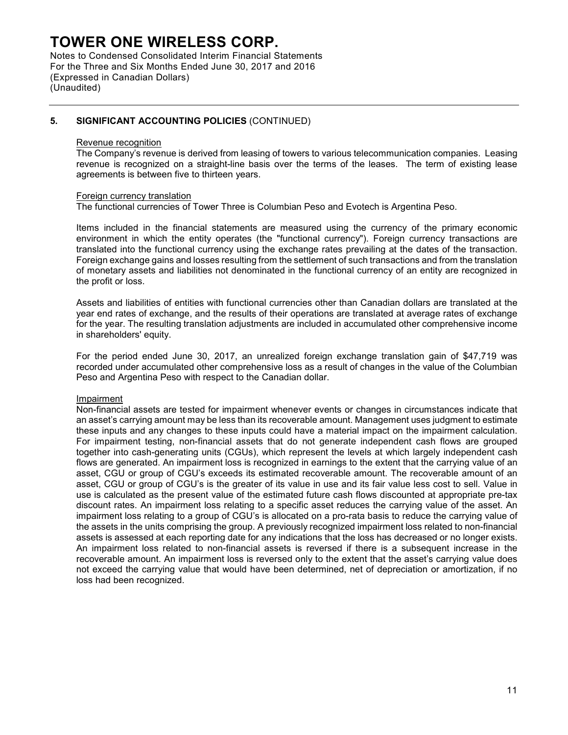Notes to Condensed Consolidated Interim Financial Statements For the Three and Six Months Ended June 30, 2017 and 2016 (Expressed in Canadian Dollars) (Unaudited)

### **5. SIGNIFICANT ACCOUNTING POLICIES** (CONTINUED)

#### Revenue recognition

The Company's revenue is derived from leasing of towers to various telecommunication companies. Leasing revenue is recognized on a straight-line basis over the terms of the leases. The term of existing lease agreements is between five to thirteen years.

#### Foreign currency translation

The functional currencies of Tower Three is Columbian Peso and Evotech is Argentina Peso.

Items included in the financial statements are measured using the currency of the primary economic environment in which the entity operates (the "functional currency"). Foreign currency transactions are translated into the functional currency using the exchange rates prevailing at the dates of the transaction. Foreign exchange gains and losses resulting from the settlement of such transactions and from the translation of monetary assets and liabilities not denominated in the functional currency of an entity are recognized in the profit or loss.

Assets and liabilities of entities with functional currencies other than Canadian dollars are translated at the year end rates of exchange, and the results of their operations are translated at average rates of exchange for the year. The resulting translation adjustments are included in accumulated other comprehensive income in shareholders' equity.

For the period ended June 30, 2017, an unrealized foreign exchange translation gain of \$47,719 was recorded under accumulated other comprehensive loss as a result of changes in the value of the Columbian Peso and Argentina Peso with respect to the Canadian dollar.

#### Impairment

Non-financial assets are tested for impairment whenever events or changes in circumstances indicate that an asset's carrying amount may be less than its recoverable amount. Management uses judgment to estimate these inputs and any changes to these inputs could have a material impact on the impairment calculation. For impairment testing, non-financial assets that do not generate independent cash flows are grouped together into cash-generating units (CGUs), which represent the levels at which largely independent cash flows are generated. An impairment loss is recognized in earnings to the extent that the carrying value of an asset, CGU or group of CGU's exceeds its estimated recoverable amount. The recoverable amount of an asset, CGU or group of CGU's is the greater of its value in use and its fair value less cost to sell. Value in use is calculated as the present value of the estimated future cash flows discounted at appropriate pre-tax discount rates. An impairment loss relating to a specific asset reduces the carrying value of the asset. An impairment loss relating to a group of CGU's is allocated on a pro-rata basis to reduce the carrying value of the assets in the units comprising the group. A previously recognized impairment loss related to non-financial assets is assessed at each reporting date for any indications that the loss has decreased or no longer exists. An impairment loss related to non-financial assets is reversed if there is a subsequent increase in the recoverable amount. An impairment loss is reversed only to the extent that the asset's carrying value does not exceed the carrying value that would have been determined, net of depreciation or amortization, if no loss had been recognized.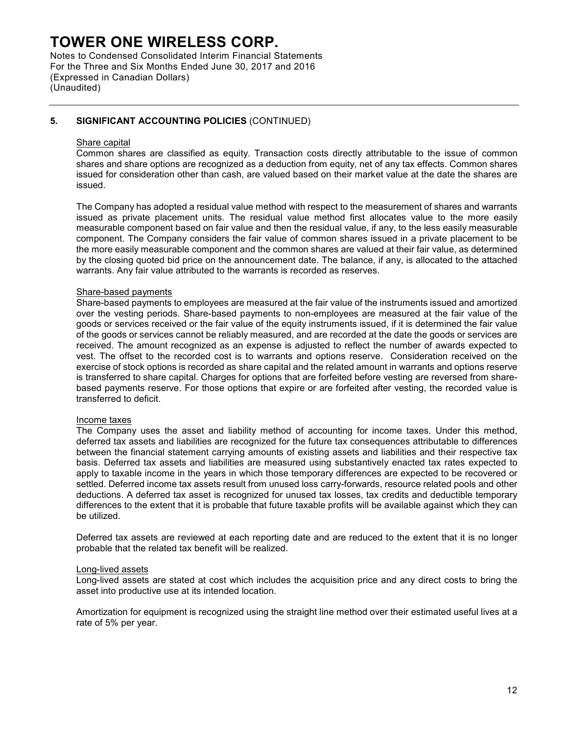Notes to Condensed Consolidated Interim Financial Statements For the Three and Six Months Ended June 30, 2017 and 2016 (Expressed in Canadian Dollars) (Unaudited)

## **5. SIGNIFICANT ACCOUNTING POLICIES** (CONTINUED)

#### Share capital

Common shares are classified as equity. Transaction costs directly attributable to the issue of common shares and share options are recognized as a deduction from equity, net of any tax effects. Common shares issued for consideration other than cash, are valued based on their market value at the date the shares are issued.

The Company has adopted a residual value method with respect to the measurement of shares and warrants issued as private placement units. The residual value method first allocates value to the more easily measurable component based on fair value and then the residual value, if any, to the less easily measurable component. The Company considers the fair value of common shares issued in a private placement to be the more easily measurable component and the common shares are valued at their fair value, as determined by the closing quoted bid price on the announcement date. The balance, if any, is allocated to the attached warrants. Any fair value attributed to the warrants is recorded as reserves.

#### Share-based payments

Share-based payments to employees are measured at the fair value of the instruments issued and amortized over the vesting periods. Share-based payments to non-employees are measured at the fair value of the goods or services received or the fair value of the equity instruments issued, if it is determined the fair value of the goods or services cannot be reliably measured, and are recorded at the date the goods or services are received. The amount recognized as an expense is adjusted to reflect the number of awards expected to vest. The offset to the recorded cost is to warrants and options reserve. Consideration received on the exercise of stock options is recorded as share capital and the related amount in warrants and options reserve is transferred to share capital. Charges for options that are forfeited before vesting are reversed from sharebased payments reserve. For those options that expire or are forfeited after vesting, the recorded value is transferred to deficit.

#### Income taxes

The Company uses the asset and liability method of accounting for income taxes. Under this method, deferred tax assets and liabilities are recognized for the future tax consequences attributable to differences between the financial statement carrying amounts of existing assets and liabilities and their respective tax basis. Deferred tax assets and liabilities are measured using substantively enacted tax rates expected to apply to taxable income in the years in which those temporary differences are expected to be recovered or settled. Deferred income tax assets result from unused loss carry-forwards, resource related pools and other deductions. A deferred tax asset is recognized for unused tax losses, tax credits and deductible temporary differences to the extent that it is probable that future taxable profits will be available against which they can be utilized.

Deferred tax assets are reviewed at each reporting date and are reduced to the extent that it is no longer probable that the related tax benefit will be realized.

#### Long-lived assets

Long-lived assets are stated at cost which includes the acquisition price and any direct costs to bring the asset into productive use at its intended location.

Amortization for equipment is recognized using the straight line method over their estimated useful lives at a rate of 5% per year.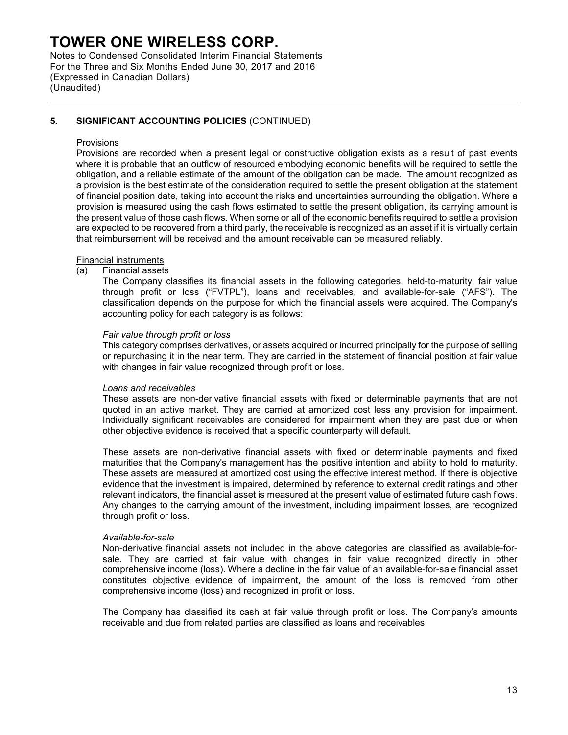Notes to Condensed Consolidated Interim Financial Statements For the Three and Six Months Ended June 30, 2017 and 2016 (Expressed in Canadian Dollars) (Unaudited)

## **5. SIGNIFICANT ACCOUNTING POLICIES** (CONTINUED)

#### Provisions

Provisions are recorded when a present legal or constructive obligation exists as a result of past events where it is probable that an outflow of resourced embodying economic benefits will be required to settle the obligation, and a reliable estimate of the amount of the obligation can be made. The amount recognized as a provision is the best estimate of the consideration required to settle the present obligation at the statement of financial position date, taking into account the risks and uncertainties surrounding the obligation. Where a provision is measured using the cash flows estimated to settle the present obligation, its carrying amount is the present value of those cash flows. When some or all of the economic benefits required to settle a provision are expected to be recovered from a third party, the receivable is recognized as an asset if it is virtually certain that reimbursement will be received and the amount receivable can be measured reliably.

#### Financial instruments

#### (a) Financial assets

The Company classifies its financial assets in the following categories: held-to-maturity, fair value through profit or loss ("FVTPL"), loans and receivables, and available-for-sale ("AFS"). The classification depends on the purpose for which the financial assets were acquired. The Company's accounting policy for each category is as follows:

#### *Fair value through profit or loss*

This category comprises derivatives, or assets acquired or incurred principally for the purpose of selling or repurchasing it in the near term. They are carried in the statement of financial position at fair value with changes in fair value recognized through profit or loss.

#### *Loans and receivables*

These assets are non-derivative financial assets with fixed or determinable payments that are not quoted in an active market. They are carried at amortized cost less any provision for impairment. Individually significant receivables are considered for impairment when they are past due or when other objective evidence is received that a specific counterparty will default.

These assets are non-derivative financial assets with fixed or determinable payments and fixed maturities that the Company's management has the positive intention and ability to hold to maturity. These assets are measured at amortized cost using the effective interest method. If there is objective evidence that the investment is impaired, determined by reference to external credit ratings and other relevant indicators, the financial asset is measured at the present value of estimated future cash flows. Any changes to the carrying amount of the investment, including impairment losses, are recognized through profit or loss.

#### *Available-for-sale*

Non-derivative financial assets not included in the above categories are classified as available-forsale. They are carried at fair value with changes in fair value recognized directly in other comprehensive income (loss). Where a decline in the fair value of an available-for-sale financial asset constitutes objective evidence of impairment, the amount of the loss is removed from other comprehensive income (loss) and recognized in profit or loss.

The Company has classified its cash at fair value through profit or loss. The Company's amounts receivable and due from related parties are classified as loans and receivables.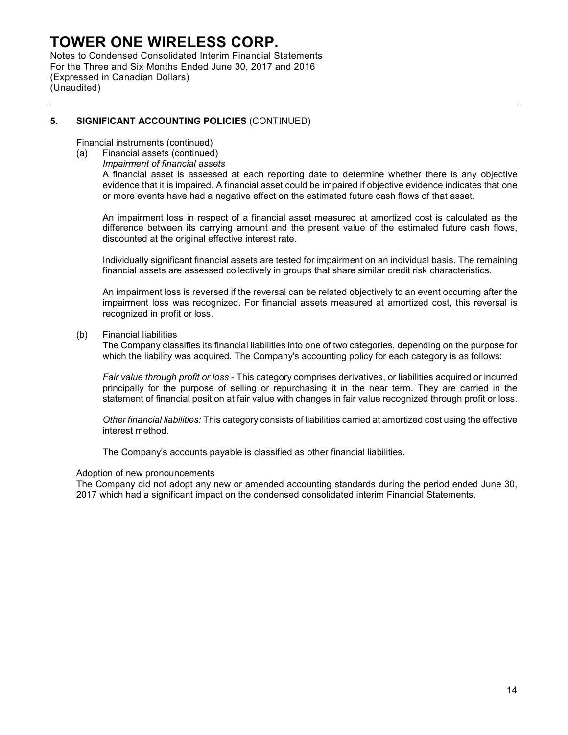Notes to Condensed Consolidated Interim Financial Statements For the Three and Six Months Ended June 30, 2017 and 2016 (Expressed in Canadian Dollars) (Unaudited)

## **5. SIGNIFICANT ACCOUNTING POLICIES** (CONTINUED)

#### Financial instruments (continued)

- (a) Financial assets (continued)
	- *Impairment of financial assets*

A financial asset is assessed at each reporting date to determine whether there is any objective evidence that it is impaired. A financial asset could be impaired if objective evidence indicates that one or more events have had a negative effect on the estimated future cash flows of that asset.

An impairment loss in respect of a financial asset measured at amortized cost is calculated as the difference between its carrying amount and the present value of the estimated future cash flows, discounted at the original effective interest rate.

Individually significant financial assets are tested for impairment on an individual basis. The remaining financial assets are assessed collectively in groups that share similar credit risk characteristics.

An impairment loss is reversed if the reversal can be related objectively to an event occurring after the impairment loss was recognized. For financial assets measured at amortized cost, this reversal is recognized in profit or loss.

(b) Financial liabilities

The Company classifies its financial liabilities into one of two categories, depending on the purpose for which the liability was acquired. The Company's accounting policy for each category is as follows:

*Fair value through profit or loss* - This category comprises derivatives, or liabilities acquired or incurred principally for the purpose of selling or repurchasing it in the near term. They are carried in the statement of financial position at fair value with changes in fair value recognized through profit or loss.

*Other financial liabilities:* This category consists of liabilities carried at amortized cost using the effective interest method.

The Company's accounts payable is classified as other financial liabilities.

#### Adoption of new pronouncements

The Company did not adopt any new or amended accounting standards during the period ended June 30, 2017 which had a significant impact on the condensed consolidated interim Financial Statements.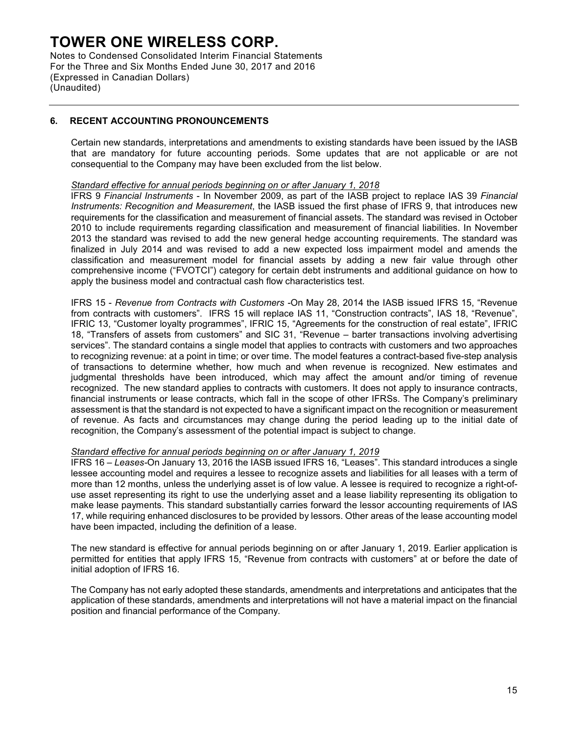Notes to Condensed Consolidated Interim Financial Statements For the Three and Six Months Ended June 30, 2017 and 2016 (Expressed in Canadian Dollars) (Unaudited)

## **6. RECENT ACCOUNTING PRONOUNCEMENTS**

Certain new standards, interpretations and amendments to existing standards have been issued by the IASB that are mandatory for future accounting periods. Some updates that are not applicable or are not consequential to the Company may have been excluded from the list below.

#### *Standard effective for annual periods beginning on or after January 1, 2018*

IFRS 9 *Financial Instruments* - In November 2009, as part of the IASB project to replace IAS 39 *Financial Instruments: Recognition and Measurement*, the IASB issued the first phase of IFRS 9, that introduces new requirements for the classification and measurement of financial assets. The standard was revised in October 2010 to include requirements regarding classification and measurement of financial liabilities. In November 2013 the standard was revised to add the new general hedge accounting requirements. The standard was finalized in July 2014 and was revised to add a new expected loss impairment model and amends the classification and measurement model for financial assets by adding a new fair value through other comprehensive income ("FVOTCI") category for certain debt instruments and additional guidance on how to apply the business model and contractual cash flow characteristics test.

IFRS 15 - *Revenue from Contracts with Customers -*On May 28, 2014 the IASB issued IFRS 15, "Revenue from contracts with customers". IFRS 15 will replace IAS 11, "Construction contracts", IAS 18, "Revenue", IFRIC 13, "Customer loyalty programmes", IFRIC 15, "Agreements for the construction of real estate", IFRIC 18, "Transfers of assets from customers" and SIC 31, "Revenue – barter transactions involving advertising services". The standard contains a single model that applies to contracts with customers and two approaches to recognizing revenue: at a point in time; or over time. The model features a contract-based five-step analysis of transactions to determine whether, how much and when revenue is recognized. New estimates and judgmental thresholds have been introduced, which may affect the amount and/or timing of revenue recognized. The new standard applies to contracts with customers. It does not apply to insurance contracts, financial instruments or lease contracts, which fall in the scope of other IFRSs. The Company's preliminary assessment is that the standard is not expected to have a significant impact on the recognition or measurement of revenue. As facts and circumstances may change during the period leading up to the initial date of recognition, the Company's assessment of the potential impact is subject to change.

#### *Standard effective for annual periods beginning on or after January 1, 2019*

IFRS 16 *– Leases-*On January 13, 2016 the IASB issued IFRS 16, "Leases". This standard introduces a single lessee accounting model and requires a lessee to recognize assets and liabilities for all leases with a term of more than 12 months, unless the underlying asset is of low value. A lessee is required to recognize a right-ofuse asset representing its right to use the underlying asset and a lease liability representing its obligation to make lease payments. This standard substantially carries forward the lessor accounting requirements of IAS 17, while requiring enhanced disclosures to be provided by lessors. Other areas of the lease accounting model have been impacted, including the definition of a lease.

The new standard is effective for annual periods beginning on or after January 1, 2019. Earlier application is permitted for entities that apply IFRS 15, "Revenue from contracts with customers" at or before the date of initial adoption of IFRS 16.

The Company has not early adopted these standards, amendments and interpretations and anticipates that the application of these standards, amendments and interpretations will not have a material impact on the financial position and financial performance of the Company.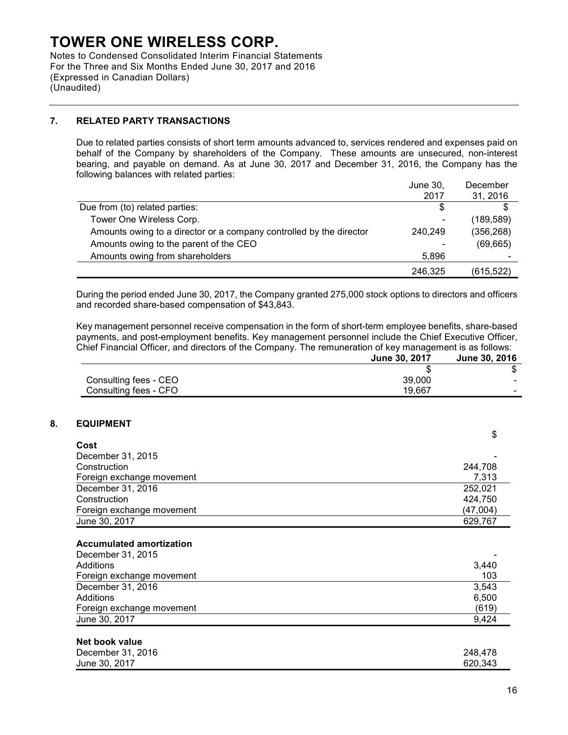Notes to Condensed Consolidated Interim Financial Statements For the Three and Six Months Ended June 30, 2017 and 2016 (Expressed in Canadian Dollars) (Unaudited)

### **7. RELATED PARTY TRANSACTIONS**

Due to related parties consists of short term amounts advanced to, services rendered and expenses paid on behalf of the Company by shareholders of the Company. These amounts are unsecured, non-interest bearing, and payable on demand. As at June 30, 2017 and December 31, 2016, the Company has the following balances with related parties:

|                                                                     | June 30. | December   |
|---------------------------------------------------------------------|----------|------------|
|                                                                     | 2017     | 31, 2016   |
| Due from (to) related parties:                                      |          |            |
| Tower One Wireless Corp.                                            | ۰        | (189,589)  |
| Amounts owing to a director or a company controlled by the director | 240.249  | (356, 268) |
| Amounts owing to the parent of the CEO                              | ۰        | (69, 665)  |
| Amounts owing from shareholders                                     | 5.896    | -          |
|                                                                     | 246,325  | (615, 522) |

During the period ended June 30, 2017, the Company granted 275,000 stock options to directors and officers and recorded share-based compensation of \$43,843.

Key management personnel receive compensation in the form of short-term employee benefits, share-based payments, and post-employment benefits. Key management personnel include the Chief Executive Officer, Chief Financial Officer, and directors of the Company. The remuneration of key management is as follows: **June 30, 2017 June 30, 2016**

|                       | $J$ ulic $J$ u, $J$ ulic | JUIIT JU, LUI U          |
|-----------------------|--------------------------|--------------------------|
|                       |                          |                          |
| Consulting fees - CEO | 39,000                   | $\overline{\phantom{a}}$ |
| Consulting fees - CFO | 19.667                   | -                        |

### **8. EQUIPMENT**

| Cost<br>December 31, 2015<br>Construction<br>244,708<br>Foreign exchange movement<br>7,313<br>December 31, 2016<br>252,021<br>Construction<br>424,750<br>(47,004)<br>Foreign exchange movement<br>June 30, 2017<br>629,767<br><b>Accumulated amortization</b><br>December 31, 2015<br>Additions<br>3,440<br>103<br>Foreign exchange movement<br>December 31, 2016<br>3,543<br>Additions<br>6,500<br>(619)<br>Foreign exchange movement<br>June 30, 2017<br>9,424 | \$ |
|------------------------------------------------------------------------------------------------------------------------------------------------------------------------------------------------------------------------------------------------------------------------------------------------------------------------------------------------------------------------------------------------------------------------------------------------------------------|----|
|                                                                                                                                                                                                                                                                                                                                                                                                                                                                  |    |
|                                                                                                                                                                                                                                                                                                                                                                                                                                                                  |    |
|                                                                                                                                                                                                                                                                                                                                                                                                                                                                  |    |
|                                                                                                                                                                                                                                                                                                                                                                                                                                                                  |    |
|                                                                                                                                                                                                                                                                                                                                                                                                                                                                  |    |
|                                                                                                                                                                                                                                                                                                                                                                                                                                                                  |    |
|                                                                                                                                                                                                                                                                                                                                                                                                                                                                  |    |
|                                                                                                                                                                                                                                                                                                                                                                                                                                                                  |    |
|                                                                                                                                                                                                                                                                                                                                                                                                                                                                  |    |
|                                                                                                                                                                                                                                                                                                                                                                                                                                                                  |    |
|                                                                                                                                                                                                                                                                                                                                                                                                                                                                  |    |
|                                                                                                                                                                                                                                                                                                                                                                                                                                                                  |    |
|                                                                                                                                                                                                                                                                                                                                                                                                                                                                  |    |
|                                                                                                                                                                                                                                                                                                                                                                                                                                                                  |    |
|                                                                                                                                                                                                                                                                                                                                                                                                                                                                  |    |
|                                                                                                                                                                                                                                                                                                                                                                                                                                                                  |    |
|                                                                                                                                                                                                                                                                                                                                                                                                                                                                  |    |

#### **Net book value**

| December 31, 2016 | 248,478 |
|-------------------|---------|
| June 30, 2017     | 620.343 |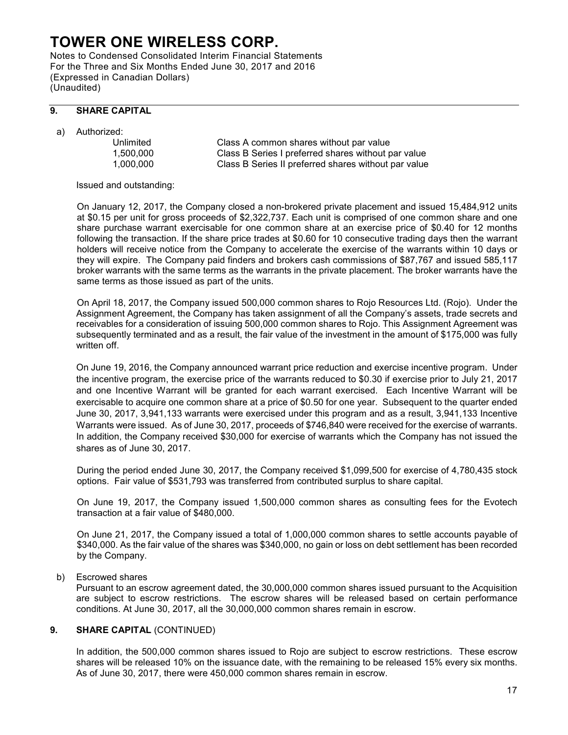Notes to Condensed Consolidated Interim Financial Statements For the Three and Six Months Ended June 30, 2017 and 2016 (Expressed in Canadian Dollars) (Unaudited)

### **9. SHARE CAPITAL**

a) Authorized:

Class A common shares without par value 1,500,000 Class B Series I preferred shares without par value 1,000,000 Class B Series II preferred shares without par value

Issued and outstanding:

On January 12, 2017, the Company closed a non-brokered private placement and issued 15,484,912 units at \$0.15 per unit for gross proceeds of \$2,322,737. Each unit is comprised of one common share and one share purchase warrant exercisable for one common share at an exercise price of \$0.40 for 12 months following the transaction. If the share price trades at \$0.60 for 10 consecutive trading days then the warrant holders will receive notice from the Company to accelerate the exercise of the warrants within 10 days or they will expire. The Company paid finders and brokers cash commissions of \$87,767 and issued 585,117 broker warrants with the same terms as the warrants in the private placement. The broker warrants have the same terms as those issued as part of the units.

On April 18, 2017, the Company issued 500,000 common shares to Rojo Resources Ltd. (Rojo). Under the Assignment Agreement, the Company has taken assignment of all the Company's assets, trade secrets and receivables for a consideration of issuing 500,000 common shares to Rojo. This Assignment Agreement was subsequently terminated and as a result, the fair value of the investment in the amount of \$175,000 was fully written off.

On June 19, 2016, the Company announced warrant price reduction and exercise incentive program. Under the incentive program, the exercise price of the warrants reduced to \$0.30 if exercise prior to July 21, 2017 and one Incentive Warrant will be granted for each warrant exercised. Each Incentive Warrant will be exercisable to acquire one common share at a price of \$0.50 for one year. Subsequent to the quarter ended June 30, 2017, 3,941,133 warrants were exercised under this program and as a result, 3,941,133 Incentive Warrants were issued. As of June 30, 2017, proceeds of \$746,840 were received for the exercise of warrants. In addition, the Company received \$30,000 for exercise of warrants which the Company has not issued the shares as of June 30, 2017.

During the period ended June 30, 2017, the Company received \$1,099,500 for exercise of 4,780,435 stock options. Fair value of \$531,793 was transferred from contributed surplus to share capital.

On June 19, 2017, the Company issued 1,500,000 common shares as consulting fees for the Evotech transaction at a fair value of \$480,000.

On June 21, 2017, the Company issued a total of 1,000,000 common shares to settle accounts payable of \$340,000. As the fair value of the shares was \$340,000, no gain or loss on debt settlement has been recorded by the Company.

b) Escrowed shares

Pursuant to an escrow agreement dated, the 30,000,000 common shares issued pursuant to the Acquisition are subject to escrow restrictions. The escrow shares will be released based on certain performance conditions. At June 30, 2017, all the 30,000,000 common shares remain in escrow.

### **9. SHARE CAPITAL** (CONTINUED)

In addition, the 500,000 common shares issued to Rojo are subject to escrow restrictions. These escrow shares will be released 10% on the issuance date, with the remaining to be released 15% every six months. As of June 30, 2017, there were 450,000 common shares remain in escrow.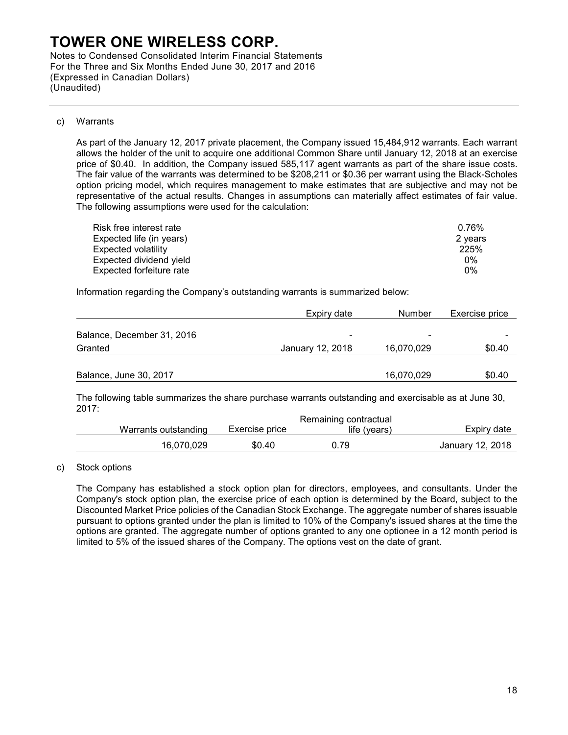Notes to Condensed Consolidated Interim Financial Statements For the Three and Six Months Ended June 30, 2017 and 2016 (Expressed in Canadian Dollars) (Unaudited)

#### c) Warrants

As part of the January 12, 2017 private placement, the Company issued 15,484,912 warrants. Each warrant allows the holder of the unit to acquire one additional Common Share until January 12, 2018 at an exercise price of \$0.40. In addition, the Company issued 585,117 agent warrants as part of the share issue costs. The fair value of the warrants was determined to be \$208,211 or \$0.36 per warrant using the Black-Scholes option pricing model, which requires management to make estimates that are subjective and may not be representative of the actual results. Changes in assumptions can materially affect estimates of fair value. The following assumptions were used for the calculation:

| Risk free interest rate  | 0.76%   |
|--------------------------|---------|
| Expected life (in years) | 2 years |
| Expected volatility      | 225%    |
| Expected dividend yield  | $0\%$   |
| Expected forfeiture rate | $0\%$   |

Information regarding the Company's outstanding warrants is summarized below:

|                            | Expiry date      | Number         | Exercise price |
|----------------------------|------------------|----------------|----------------|
| Balance, December 31, 2016 | $\blacksquare$   | $\blacksquare$ |                |
| Granted                    | January 12, 2018 | 16,070,029     | \$0.40         |
| Balance, June 30, 2017     |                  | 16,070,029     | \$0.40         |

The following table summarizes the share purchase warrants outstanding and exercisable as at June 30, 2017:

|                      |                | Remaining contractual |                  |
|----------------------|----------------|-----------------------|------------------|
| Warrants outstanding | Exercise price | life (vears)          | Expiry date      |
| 16.070.029           | \$0.40         | J.79                  | January 12, 2018 |
|                      |                |                       |                  |

c) Stock options

The Company has established a stock option plan for directors, employees, and consultants. Under the Company's stock option plan, the exercise price of each option is determined by the Board, subject to the Discounted Market Price policies of the Canadian Stock Exchange. The aggregate number of shares issuable pursuant to options granted under the plan is limited to 10% of the Company's issued shares at the time the options are granted. The aggregate number of options granted to any one optionee in a 12 month period is limited to 5% of the issued shares of the Company. The options vest on the date of grant.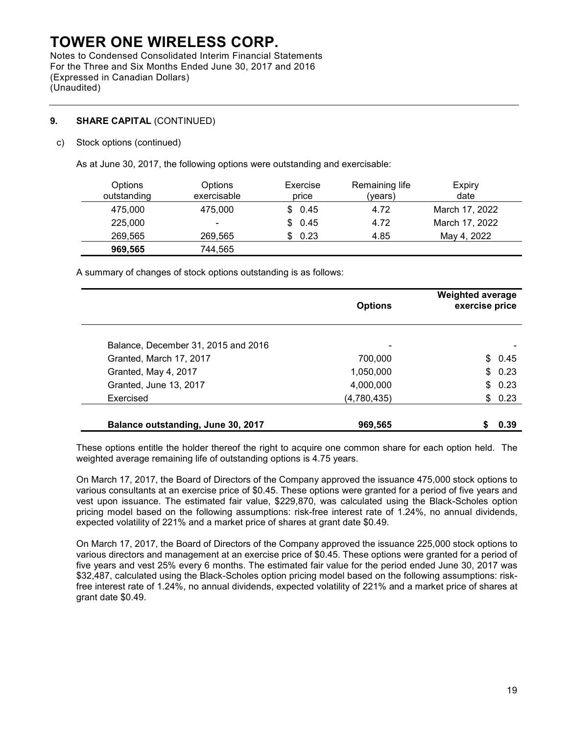Notes to Condensed Consolidated Interim Financial Statements For the Three and Six Months Ended June 30, 2017 and 2016 (Expressed in Canadian Dollars) (Unaudited)

## **9. SHARE CAPITAL** (CONTINUED)

### c) Stock options (continued)

As at June 30, 2017, the following options were outstanding and exercisable:

| <b>Options</b><br>outstanding | Options<br>exercisable | Exercise<br>price | Remaining life<br>(vears) | Expiry<br>date |
|-------------------------------|------------------------|-------------------|---------------------------|----------------|
| 475.000                       | 475,000                | \$0.45            | 4.72                      | March 17, 2022 |
| 225,000                       | $\blacksquare$         | \$0.45            | 4.72                      | March 17, 2022 |
| 269,565                       | 269,565                | \$0.23            | 4.85                      | May 4, 2022    |
| 969,565                       | 744,565                |                   |                           |                |

A summary of changes of stock options outstanding is as follows:

|                                     | <b>Options</b> | <b>Weighted average</b><br>exercise price |
|-------------------------------------|----------------|-------------------------------------------|
| Balance, December 31, 2015 and 2016 | ۰              |                                           |
| Granted, March 17, 2017             | 700,000        | \$0.45                                    |
| Granted, May 4, 2017                | 1,050,000      | \$0.23                                    |
| Granted, June 13, 2017              | 4,000,000      | \$0.23                                    |
| Exercised                           | (4,780,435)    | \$0.23                                    |
| Balance outstanding, June 30, 2017  | 969,565        | 0.39                                      |

These options entitle the holder thereof the right to acquire one common share for each option held. The weighted average remaining life of outstanding options is 4.75 years.

On March 17, 2017, the Board of Directors of the Company approved the issuance 475,000 stock options to various consultants at an exercise price of \$0.45. These options were granted for a period of five years and vest upon issuance. The estimated fair value, \$229,870, was calculated using the Black-Scholes option pricing model based on the following assumptions: risk-free interest rate of 1.24%, no annual dividends, expected volatility of 221% and a market price of shares at grant date \$0.49.

On March 17, 2017, the Board of Directors of the Company approved the issuance 225,000 stock options to various directors and management at an exercise price of \$0.45. These options were granted for a period of five years and vest 25% every 6 months. The estimated fair value for the period ended June 30, 2017 was \$32,487, calculated using the Black-Scholes option pricing model based on the following assumptions: riskfree interest rate of 1.24%, no annual dividends, expected volatility of 221% and a market price of shares at grant date \$0.49.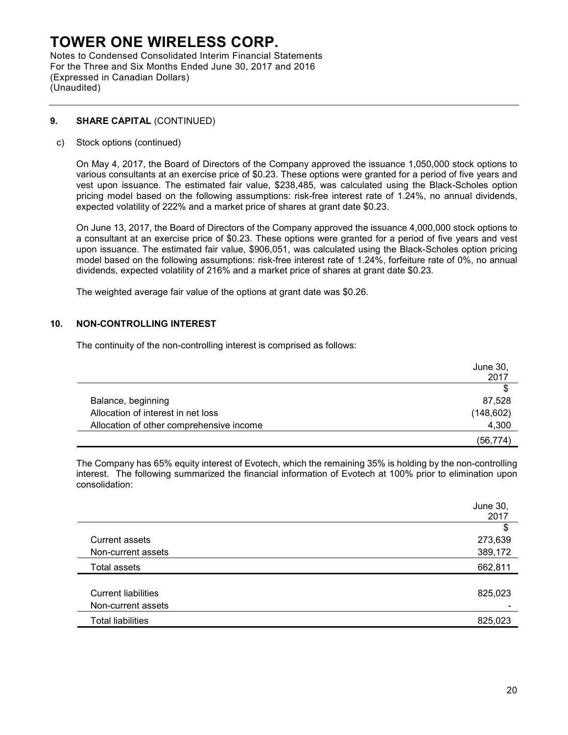Notes to Condensed Consolidated Interim Financial Statements For the Three and Six Months Ended June 30, 2017 and 2016 (Expressed in Canadian Dollars) (Unaudited)

### **9. SHARE CAPITAL** (CONTINUED)

c) Stock options (continued)

On May 4, 2017, the Board of Directors of the Company approved the issuance 1,050,000 stock options to various consultants at an exercise price of \$0.23. These options were granted for a period of five years and vest upon issuance. The estimated fair value, \$238,485, was calculated using the Black-Scholes option pricing model based on the following assumptions: risk-free interest rate of 1.24%, no annual dividends, expected volatility of 222% and a market price of shares at grant date \$0.23.

On June 13, 2017, the Board of Directors of the Company approved the issuance 4,000,000 stock options to a consultant at an exercise price of \$0.23. These options were granted for a period of five years and vest upon issuance. The estimated fair value, \$906,051, was calculated using the Black-Scholes option pricing model based on the following assumptions: risk-free interest rate of 1.24%, forfeiture rate of 0%, no annual dividends, expected volatility of 216% and a market price of shares at grant date \$0.23.

The weighted average fair value of the options at grant date was \$0.26.

### **10. NON-CONTROLLING INTEREST**

The continuity of the non-controlling interest is comprised as follows:

|                                          | June 30,   |
|------------------------------------------|------------|
|                                          | 2017       |
|                                          | S          |
| Balance, beginning                       | 87,528     |
| Allocation of interest in net loss       | (148, 602) |
| Allocation of other comprehensive income | 4,300      |
|                                          | (56, 774)  |

The Company has 65% equity interest of Evotech, which the remaining 35% is holding by the non-controlling interest. The following summarized the financial information of Evotech at 100% prior to elimination upon consolidation:

|                            | June 30, |
|----------------------------|----------|
|                            | 2017     |
|                            | \$       |
| <b>Current assets</b>      | 273,639  |
| Non-current assets         | 389,172  |
| Total assets               | 662,811  |
|                            |          |
| <b>Current liabilities</b> | 825,023  |
| Non-current assets         |          |
| <b>Total liabilities</b>   | 825,023  |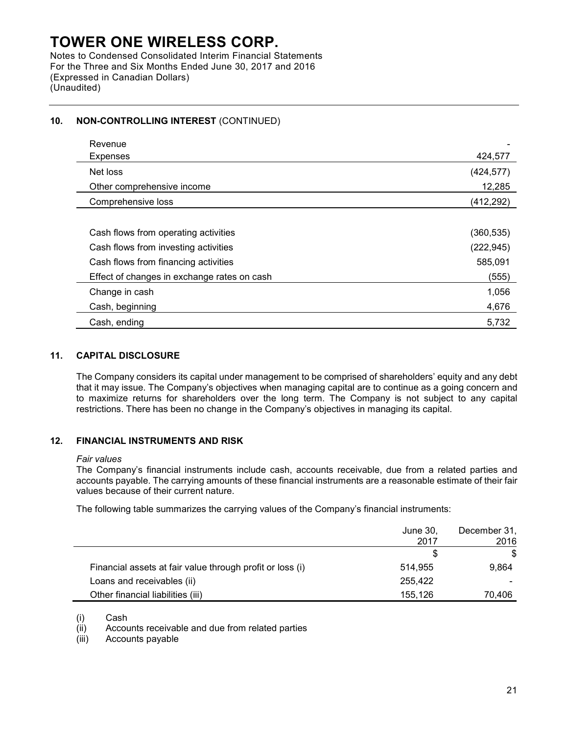Notes to Condensed Consolidated Interim Financial Statements For the Three and Six Months Ended June 30, 2017 and 2016 (Expressed in Canadian Dollars) (Unaudited)

## **10. NON-CONTROLLING INTEREST** (CONTINUED)

| Revenue                                     |            |
|---------------------------------------------|------------|
| <b>Expenses</b>                             | 424,577    |
| Net loss                                    | (424, 577) |
| Other comprehensive income                  | 12,285     |
| Comprehensive loss                          | (412, 292) |
|                                             |            |
| Cash flows from operating activities        | (360, 535) |
| Cash flows from investing activities        | (222, 945) |
| Cash flows from financing activities        | 585,091    |
| Effect of changes in exchange rates on cash | (555)      |
| Change in cash                              | 1,056      |
| Cash, beginning                             | 4,676      |
| Cash, ending                                | 5,732      |

### **11. CAPITAL DISCLOSURE**

The Company considers its capital under management to be comprised of shareholders' equity and any debt that it may issue. The Company's objectives when managing capital are to continue as a going concern and to maximize returns for shareholders over the long term. The Company is not subject to any capital restrictions. There has been no change in the Company's objectives in managing its capital.

### **12. FINANCIAL INSTRUMENTS AND RISK**

#### *Fair values*

 The Company's financial instruments include cash, accounts receivable, due from a related parties and accounts payable. The carrying amounts of these financial instruments are a reasonable estimate of their fair values because of their current nature.

The following table summarizes the carrying values of the Company's financial instruments:

|                                                           | June 30,<br>2017 | December 31,<br>2016 |
|-----------------------------------------------------------|------------------|----------------------|
|                                                           |                  | \$                   |
| Financial assets at fair value through profit or loss (i) | 514,955          | 9,864                |
| Loans and receivables (ii)                                | 255,422          |                      |
| Other financial liabilities (iii)                         | 155,126          | 70,406               |

(i) Cash

(ii) Accounts receivable and due from related parties

(iii) Accounts payable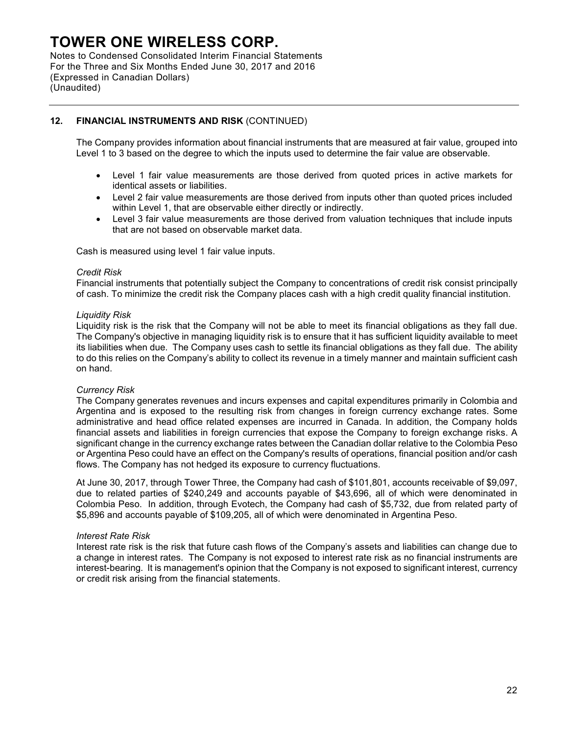Notes to Condensed Consolidated Interim Financial Statements For the Three and Six Months Ended June 30, 2017 and 2016 (Expressed in Canadian Dollars) (Unaudited)

## **12. FINANCIAL INSTRUMENTS AND RISK** (CONTINUED)

The Company provides information about financial instruments that are measured at fair value, grouped into Level 1 to 3 based on the degree to which the inputs used to determine the fair value are observable.

- Level 1 fair value measurements are those derived from quoted prices in active markets for identical assets or liabilities.
- Level 2 fair value measurements are those derived from inputs other than quoted prices included within Level 1, that are observable either directly or indirectly.
- Level 3 fair value measurements are those derived from valuation techniques that include inputs that are not based on observable market data.

Cash is measured using level 1 fair value inputs.

#### *Credit Risk*

Financial instruments that potentially subject the Company to concentrations of credit risk consist principally of cash. To minimize the credit risk the Company places cash with a high credit quality financial institution.

#### *Liquidity Risk*

Liquidity risk is the risk that the Company will not be able to meet its financial obligations as they fall due. The Company's objective in managing liquidity risk is to ensure that it has sufficient liquidity available to meet its liabilities when due. The Company uses cash to settle its financial obligations as they fall due. The ability to do this relies on the Company's ability to collect its revenue in a timely manner and maintain sufficient cash on hand.

#### *Currency Risk*

The Company generates revenues and incurs expenses and capital expenditures primarily in Colombia and Argentina and is exposed to the resulting risk from changes in foreign currency exchange rates. Some administrative and head office related expenses are incurred in Canada. In addition, the Company holds financial assets and liabilities in foreign currencies that expose the Company to foreign exchange risks. A significant change in the currency exchange rates between the Canadian dollar relative to the Colombia Peso or Argentina Peso could have an effect on the Company's results of operations, financial position and/or cash flows. The Company has not hedged its exposure to currency fluctuations.

At June 30, 2017, through Tower Three, the Company had cash of \$101,801, accounts receivable of \$9,097, due to related parties of \$240,249 and accounts payable of \$43,696, all of which were denominated in Colombia Peso. In addition, through Evotech, the Company had cash of \$5,732, due from related party of \$5,896 and accounts payable of \$109,205, all of which were denominated in Argentina Peso.

#### *Interest Rate Risk*

Interest rate risk is the risk that future cash flows of the Company's assets and liabilities can change due to a change in interest rates. The Company is not exposed to interest rate risk as no financial instruments are interest-bearing. It is management's opinion that the Company is not exposed to significant interest, currency or credit risk arising from the financial statements.